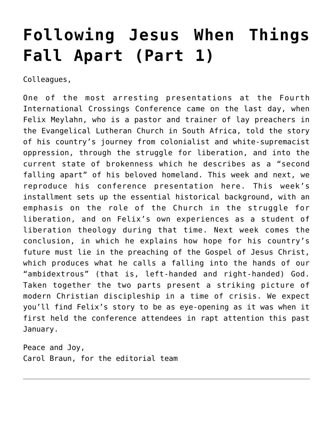## **[Following Jesus When Things](https://crossings.org/following-jesus-when-things-fall-apart-part-1/) [Fall Apart \(Part 1\)](https://crossings.org/following-jesus-when-things-fall-apart-part-1/)**

Colleagues,

One of the most arresting presentations at the Fourth International Crossings Conference came on the last day, when Felix Meylahn, who is a pastor and trainer of lay preachers in the Evangelical Lutheran Church in South Africa, told the story of his country's journey from colonialist and white-supremacist oppression, through the struggle for liberation, and into the current state of brokenness which he describes as a "second falling apart" of his beloved homeland. This week and next, we reproduce his conference presentation here. This week's installment sets up the essential historical background, with an emphasis on the role of the Church in the struggle for liberation, and on Felix's own experiences as a student of liberation theology during that time. Next week comes the conclusion, in which he explains how hope for his country's future must lie in the preaching of the Gospel of Jesus Christ, which produces what he calls a falling into the hands of our "ambidextrous" (that is, left-handed and right-handed) God. Taken together the two parts present a striking picture of modern Christian discipleship in a time of crisis. We expect you'll find Felix's story to be as eye-opening as it was when it first held the conference attendees in rapt attention this past January.

Peace and Joy, Carol Braun, for the editorial team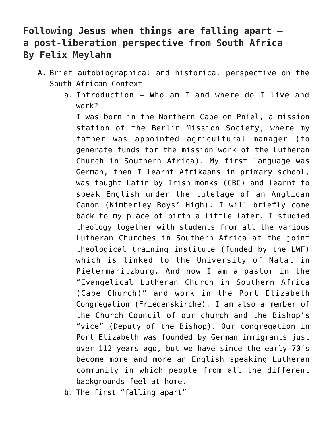## **Following Jesus when things are falling apart a post-liberation perspective from South Africa By Felix Meylahn**

- A. Brief autobiographical and historical perspective on the South African Context
	- a. Introduction Who am I and where do I live and work?

I was born in the Northern Cape on Pniel, a mission station of the Berlin Mission Society, where my father was appointed agricultural manager (to generate funds for the mission work of the Lutheran Church in Southern Africa). My first language was German, then I learnt Afrikaans in primary school, was taught Latin by Irish monks (CBC) and learnt to speak English under the tutelage of an Anglican Canon (Kimberley Boys' High). I will briefly come back to my place of birth a little later. I studied theology together with students from all the various Lutheran Churches in Southern Africa at the joint theological training institute (funded by the LWF) which is linked to the University of Natal in Pietermaritzburg. And now I am a pastor in the "Evangelical Lutheran Church in Southern Africa (Cape Church)" and work in the Port Elizabeth Congregation (Friedenskirche). I am also a member of the Church Council of our church and the Bishop's "vice" (Deputy of the Bishop). Our congregation in Port Elizabeth was founded by German immigrants just over 112 years ago, but we have since the early 70's become more and more an English speaking Lutheran community in which people from all the different backgrounds feel at home.

b. The first "falling apart"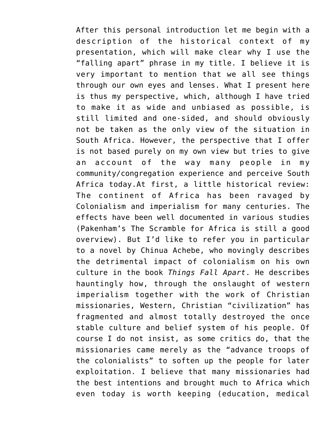After this personal introduction let me begin with a description of the historical context of my presentation, which will make clear why I use the "falling apart" phrase in my title. I believe it is very important to mention that we all see things through our own eyes and lenses. What I present here is thus my perspective, which, although I have tried to make it as wide and unbiased as possible, is still limited and one-sided, and should obviously not be taken as the only view of the situation in South Africa. However, the perspective that I offer is not based purely on my own view but tries to give an account of the way many people in my community/congregation experience and perceive South Africa today.At first, a little historical review: The continent of Africa has been ravaged by Colonialism and imperialism for many centuries. The effects have been well documented in various studies (Pakenham's The Scramble for Africa is still a good overview). But I'd like to refer you in particular to a novel by Chinua Achebe, who movingly describes the detrimental impact of colonialism on his own culture in the book *Things Fall Apart*. He describes hauntingly how, through the onslaught of western imperialism together with the work of Christian missionaries, Western, Christian "civilization" has fragmented and almost totally destroyed the once stable culture and belief system of his people. Of course I do not insist, as some critics do, that the missionaries came merely as the "advance troops of the colonialists" to soften up the people for later exploitation. I believe that many missionaries had the best intentions and brought much to Africa which even today is worth keeping (education, medical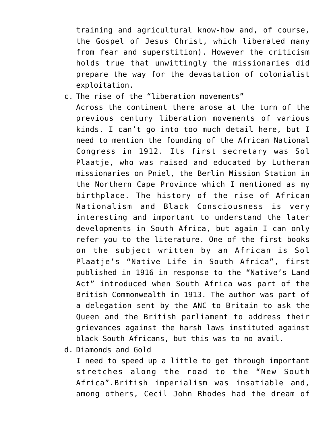training and agricultural know-how and, of course, the Gospel of Jesus Christ, which liberated many from fear and superstition). However the criticism holds true that unwittingly the missionaries did prepare the way for the devastation of colonialist exploitation.

- c. The rise of the "liberation movements" Across the continent there arose at the turn of the previous century liberation movements of various kinds. I can't go into too much detail here, but I need to mention the founding of the African National Congress in 1912. Its first secretary was Sol Plaatje, who was raised and educated by Lutheran missionaries on Pniel, the Berlin Mission Station in the Northern Cape Province which I mentioned as my birthplace. The history of the rise of African Nationalism and Black Consciousness is very interesting and important to understand the later developments in South Africa, but again I can only refer you to the literature. One of the first books on the subject written by an African is Sol Plaatje's "Native Life in South Africa", first published in 1916 in response to the "Native's Land Act" introduced when South Africa was part of the British Commonwealth in 1913. The author was part of a delegation sent by the ANC to Britain to ask the Queen and the British parliament to address their grievances against the harsh laws instituted against black South Africans, but this was to no avail.
- d. Diamonds and Gold

I need to speed up a little to get through important stretches along the road to the "New South Africa".British imperialism was insatiable and, among others, Cecil John Rhodes had the dream of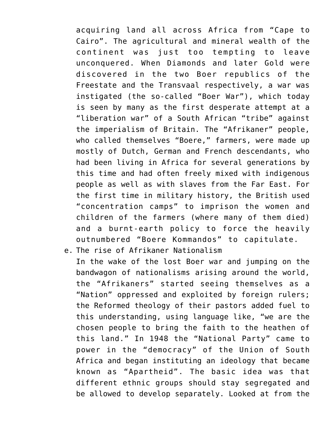acquiring land all across Africa from "Cape to Cairo". The agricultural and mineral wealth of the continent was just too tempting to leave unconquered. When Diamonds and later Gold were discovered in the two Boer republics of the Freestate and the Transvaal respectively, a war was instigated (the so-called "Boer War"), which today is seen by many as the first desperate attempt at a "liberation war" of a South African "tribe" against the imperialism of Britain. The "Afrikaner" people, who called themselves "Boere," farmers, were made up mostly of Dutch, German and French descendants, who had been living in Africa for several generations by this time and had often freely mixed with indigenous people as well as with slaves from the Far East. For the first time in military history, the British used "concentration camps" to imprison the women and children of the farmers (where many of them died) and a burnt-earth policy to force the heavily outnumbered "Boere Kommandos" to capitulate.

e. The rise of Afrikaner Nationalism

In the wake of the lost Boer war and jumping on the bandwagon of nationalisms arising around the world, the "Afrikaners" started seeing themselves as a "Nation" oppressed and exploited by foreign rulers; the Reformed theology of their pastors added fuel to this understanding, using language like, "we are the chosen people to bring the faith to the heathen of this land." In 1948 the "National Party" came to power in the "democracy" of the Union of South Africa and began instituting an ideology that became known as "Apartheid". The basic idea was that different ethnic groups should stay segregated and be allowed to develop separately. Looked at from the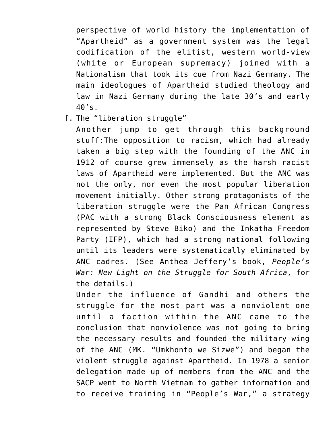perspective of world history the implementation of "Apartheid" as a government system was the legal codification of the elitist, western world-view (white or European supremacy) joined with a Nationalism that took its cue from Nazi Germany. The main ideologues of Apartheid studied theology and law in Nazi Germany during the late 30's and early 40's.

f. The "liberation struggle"

Another jump to get through this background stuff:The opposition to racism, which had already taken a big step with the founding of the ANC in 1912 of course grew immensely as the harsh racist laws of Apartheid were implemented. But the ANC was not the only, nor even the most popular liberation movement initially. Other strong protagonists of the liberation struggle were the Pan African Congress (PAC with a strong Black Consciousness element as represented by Steve Biko) and the Inkatha Freedom Party (IFP), which had a strong national following until its leaders were systematically eliminated by ANC cadres. (See Anthea Jeffery's book, *People's War: New Light on the Struggle for South Africa*, for the details.)

Under the influence of Gandhi and others the struggle for the most part was a nonviolent one until a faction within the ANC came to the conclusion that nonviolence was not going to bring the necessary results and founded the military wing of the ANC (MK. "Umkhonto we Sizwe") and began the violent struggle against Apartheid. In 1978 a senior delegation made up of members from the ANC and the SACP went to North Vietnam to gather information and to receive training in "People's War," a strategy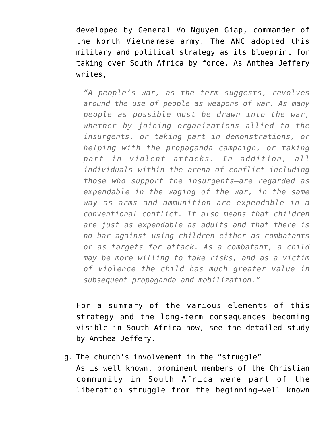developed by General Vo Nguyen Giap, commander of the North Vietnamese army. The ANC adopted this military and political strategy as its blueprint for taking over South Africa by force. As Anthea Jeffery writes,

*"A people's war, as the term suggests, revolves around the use of people as weapons of war. As many people as possible must be drawn into the war, whether by joining organizations allied to the insurgents, or taking part in demonstrations, or helping with the propaganda campaign, or taking part in violent attacks. In addition, all individuals within the arena of conflict—including those who support the insurgents—are regarded as expendable in the waging of the war, in the same way as arms and ammunition are expendable in a conventional conflict. It also means that children are just as expendable as adults and that there is no bar against using children either as combatants or as targets for attack. As a combatant, a child may be more willing to take risks, and as a victim of violence the child has much greater value in subsequent propaganda and mobilization."*

For a summary of the various elements of this strategy and the long-term consequences becoming visible in South Africa now, see the detailed study by Anthea Jeffery.

g. The church's involvement in the "struggle" As is well known, prominent members of the Christian community in South Africa were part of the liberation struggle from the beginning—well known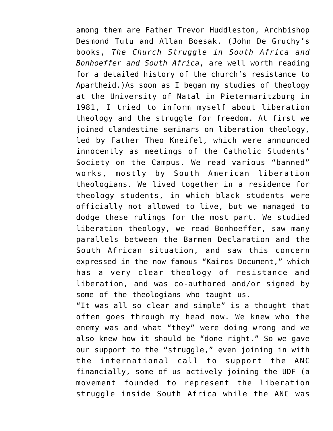among them are Father Trevor Huddleston, Archbishop Desmond Tutu and Allan Boesak. (John De Gruchy's books, *The Church Struggle in South Africa and Bonhoeffer and South Africa*, are well worth reading for a detailed history of the church's resistance to Apartheid.)As soon as I began my studies of theology at the University of Natal in Pietermaritzburg in 1981, I tried to inform myself about liberation theology and the struggle for freedom. At first we joined clandestine seminars on liberation theology, led by Father Theo Kneifel, which were announced innocently as meetings of the Catholic Students' Society on the Campus. We read various "banned" works, mostly by South American liberation theologians. We lived together in a residence for theology students, in which black students were officially not allowed to live, but we managed to dodge these rulings for the most part. We studied liberation theology, we read Bonhoeffer, saw many parallels between the Barmen Declaration and the South African situation, and saw this concern expressed in the now famous "Kairos Document," which has a very clear theology of resistance and liberation, and was co-authored and/or signed by some of the theologians who taught us.

"It was all so clear and simple" is a thought that often goes through my head now. We knew who the enemy was and what "they" were doing wrong and we also knew how it should be "done right." So we gave our support to the "struggle," even joining in with the international call to support the ANC financially, some of us actively joining the UDF (a movement founded to represent the liberation struggle inside South Africa while the ANC was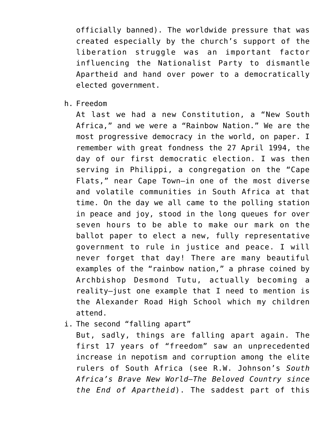officially banned). The worldwide pressure that was created especially by the church's support of the liberation struggle was an important factor influencing the Nationalist Party to dismantle Apartheid and hand over power to a democratically elected government.

h. Freedom

At last we had a new Constitution, a "New South Africa," and we were a "Rainbow Nation." We are the most progressive democracy in the world, on paper. I remember with great fondness the 27 April 1994, the day of our first democratic election. I was then serving in Philippi, a congregation on the "Cape Flats," near Cape Town—in one of the most diverse and volatile communities in South Africa at that time. On the day we all came to the polling station in peace and joy, stood in the long queues for over seven hours to be able to make our mark on the ballot paper to elect a new, fully representative government to rule in justice and peace. I will never forget that day! There are many beautiful examples of the "rainbow nation," a phrase coined by Archbishop Desmond Tutu, actually becoming a reality—just one example that I need to mention is the Alexander Road High School which my children attend.

i. The second "falling apart"

But, sadly, things are falling apart again. The first 17 years of "freedom" saw an unprecedented increase in nepotism and corruption among the elite rulers of South Africa (see R.W. Johnson's *South Africa's Brave New World—The Beloved Country since the End of Apartheid*). The saddest part of this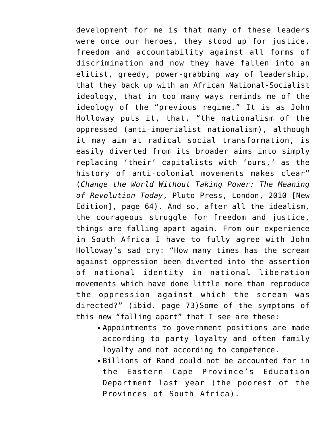development for me is that many of these leaders were once our heroes, they stood up for justice, freedom and accountability against all forms of discrimination and now they have fallen into an elitist, greedy, power-grabbing way of leadership, that they back up with an African National-Socialist ideology, that in too many ways reminds me of the ideology of the "previous regime." It is as John Holloway puts it, that, "the nationalism of the oppressed (anti-imperialist nationalism), although it may aim at radical social transformation, is easily diverted from its broader aims into simply replacing 'their' capitalists with 'ours,' as the history of anti-colonial movements makes clear" (*Change the World Without Taking Power: The Meaning of Revolution Today*, Pluto Press, London, 2010 [New Edition], page 64). And so, after all the idealism, the courageous struggle for freedom and justice, things are falling apart again. From our experience in South Africa I have to fully agree with John Holloway's sad cry: "How many times has the scream against oppression been diverted into the assertion of national identity in national liberation movements which have done little more than reproduce the oppression against which the scream was directed?" (ibid. page 73)Some of the symptoms of this new "falling apart" that I see are these:

- Appointments to government positions are made according to party loyalty and often family loyalty and not according to competence.
- Billions of Rand could not be accounted for in the Eastern Cape Province's Education Department last year (the poorest of the Provinces of South Africa).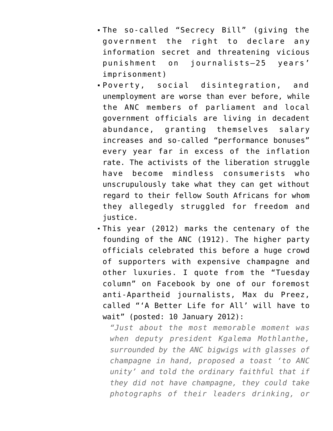- The so-called "Secrecy Bill" (giving the government the right to declare any information secret and threatening vicious punishment on journalists—25 years' imprisonment)
- Poverty, social disintegration, and unemployment are worse than ever before, while the ANC members of parliament and local government officials are living in decadent abundance, granting themselves salary increases and so-called "performance bonuses" every year far in excess of the inflation rate. The activists of the liberation struggle have become mindless consumerists who unscrupulously take what they can get without regard to their fellow South Africans for whom they allegedly struggled for freedom and justice.
- This year (2012) marks the centenary of the founding of the ANC (1912). The higher party officials celebrated this before a huge crowd of supporters with expensive champagne and other luxuries. I quote from the "Tuesday column" on Facebook by one of our foremost anti-Apartheid journalists, Max du Preez, called "'A Better Life for All' will have to wait" (posted: 10 January 2012):

*"Just about the most memorable moment was when deputy president Kgalema Mothlanthe, surrounded by the ANC bigwigs with glasses of champagne in hand, proposed a toast 'to ANC unity' and told the ordinary faithful that if they did not have champagne, they could take photographs of their leaders drinking, or*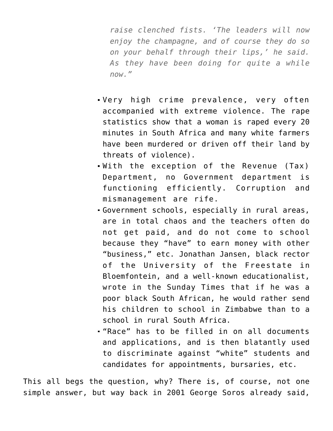*raise clenched fists. 'The leaders will now enjoy the champagne, and of course they do so on your behalf through their lips,' he said. As they have been doing for quite a while now."*

- Very high crime prevalence, very often accompanied with extreme violence. The rape statistics show that a woman is raped every 20 minutes in South Africa and many white farmers have been murdered or driven off their land by threats of violence).
- With the exception of the Revenue (Tax) Department, no Government department is functioning efficiently. Corruption and mismanagement are rife.
- Government schools, especially in rural areas, are in total chaos and the teachers often do not get paid, and do not come to school because they "have" to earn money with other "business," etc. Jonathan Jansen, black rector of the University of the Freestate in Bloemfontein, and a well-known educationalist, wrote in the Sunday Times that if he was a poor black South African, he would rather send his children to school in Zimbabwe than to a school in rural South Africa.
- "Race" has to be filled in on all documents and applications, and is then blatantly used to discriminate against "white" students and candidates for appointments, bursaries, etc.

This all begs the question, why? There is, of course, not one simple answer, but way back in 2001 George Soros already said,